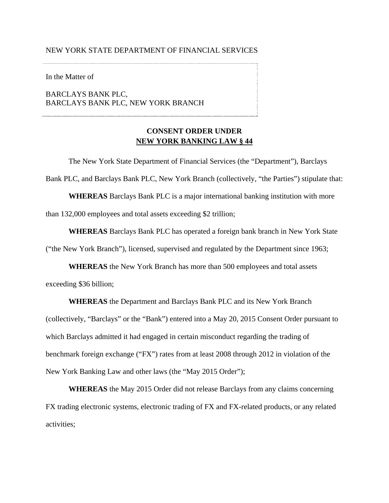## NEW YORK STATE DEPARTMENT OF FINANCIAL SERVICES

In the Matter of

BARCLAYS BANK PLC, BARCLAYS BANK PLC, NEW YORK BRANCH

# **CONSENT ORDER UNDER NEW YORK BANKING LAW § 44**

The New York State Department of Financial Services (the "Department"), Barclays Bank PLC, and Barclays Bank PLC, New York Branch (collectively, "the Parties") stipulate that: **WHEREAS** Barclays Bank PLC is a major international banking institution with more than 132,000 employees and total assets exceeding \$2 trillion;

**WHEREAS** Barclays Bank PLC has operated a foreign bank branch in New York State ("the New York Branch"), licensed, supervised and regulated by the Department since 1963;

**WHEREAS** the New York Branch has more than 500 employees and total assets exceeding \$36 billion;

**WHEREAS** the Department and Barclays Bank PLC and its New York Branch (collectively, "Barclays" or the "Bank") entered into a May 20, 2015 Consent Order pursuant to which Barclays admitted it had engaged in certain misconduct regarding the trading of benchmark foreign exchange ("FX") rates from at least 2008 through 2012 in violation of the New York Banking Law and other laws (the "May 2015 Order");

**WHEREAS** the May 2015 Order did not release Barclays from any claims concerning FX trading electronic systems, electronic trading of FX and FX-related products, or any related activities;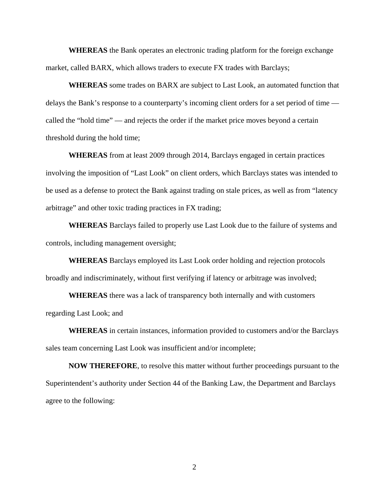**WHEREAS** the Bank operates an electronic trading platform for the foreign exchange market, called BARX, which allows traders to execute FX trades with Barclays;

**WHEREAS** some trades on BARX are subject to Last Look, an automated function that delays the Bank's response to a counterparty's incoming client orders for a set period of time called the "hold time" — and rejects the order if the market price moves beyond a certain threshold during the hold time;

**WHEREAS** from at least 2009 through 2014, Barclays engaged in certain practices involving the imposition of "Last Look" on client orders, which Barclays states was intended to be used as a defense to protect the Bank against trading on stale prices, as well as from "latency arbitrage" and other toxic trading practices in FX trading;

**WHEREAS** Barclays failed to properly use Last Look due to the failure of systems and controls, including management oversight;

**WHEREAS** Barclays employed its Last Look order holding and rejection protocols broadly and indiscriminately, without first verifying if latency or arbitrage was involved;

**WHEREAS** there was a lack of transparency both internally and with customers regarding Last Look; and

**WHEREAS** in certain instances, information provided to customers and/or the Barclays sales team concerning Last Look was insufficient and/or incomplete;

**NOW THEREFORE**, to resolve this matter without further proceedings pursuant to the Superintendent's authority under Section 44 of the Banking Law, the Department and Barclays agree to the following: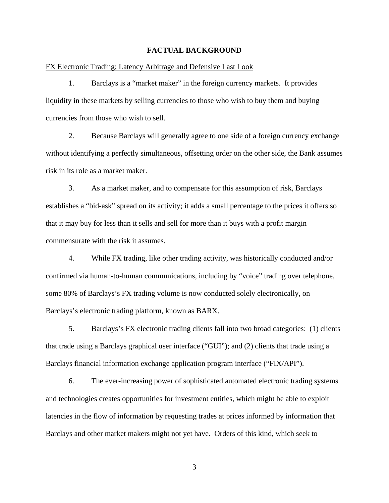# **FACTUAL BACKGROUND**

FX Electronic Trading; Latency Arbitrage and Defensive Last Look

1. Barclays is a "market maker" in the foreign currency markets. It provides liquidity in these markets by selling currencies to those who wish to buy them and buying currencies from those who wish to sell.

2. Because Barclays will generally agree to one side of a foreign currency exchange without identifying a perfectly simultaneous, offsetting order on the other side, the Bank assumes risk in its role as a market maker.

3. As a market maker, and to compensate for this assumption of risk, Barclays establishes a "bid-ask" spread on its activity; it adds a small percentage to the prices it offers so that it may buy for less than it sells and sell for more than it buys with a profit margin commensurate with the risk it assumes.

4. While FX trading, like other trading activity, was historically conducted and/or confirmed via human-to-human communications, including by "voice" trading over telephone, some 80% of Barclays's FX trading volume is now conducted solely electronically, on Barclays's electronic trading platform, known as BARX.

Barclays financial information exchange application program interface ("FIX/API").<br>6. The ever-increasing power of sophisticated automated electronic trading systems 5. Barclays's FX electronic trading clients fall into two broad categories: (1) clients that trade using a Barclays graphical user interface ("GUI"); and (2) clients that trade using a

and technologies creates opportunities for investment entities, which might be able to exploit latencies in the flow of information by requesting trades at prices informed by information that Barclays and other market makers might not yet have. Orders of this kind, which seek to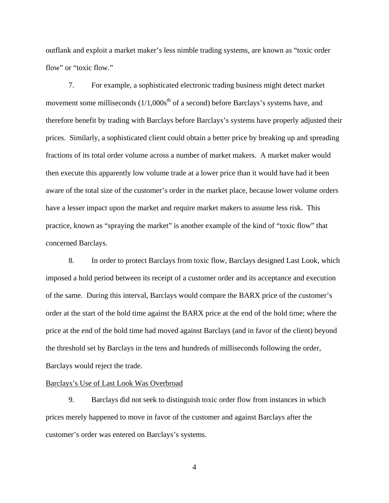outflank and exploit a market maker's less nimble trading systems, are known as "toxic order flow" or "toxic flow."

7. For example, a sophisticated electronic trading business might detect market movement some milliseconds  $(1/1,000s<sup>th</sup>$  of a second) before Barclays's systems have, and therefore benefit by trading with Barclays before Barclays's systems have properly adjusted their prices. Similarly, a sophisticated client could obtain a better price by breaking up and spreading fractions of its total order volume across a number of market makers. A market maker would then execute this apparently low volume trade at a lower price than it would have had it been aware of the total size of the customer's order in the market place, because lower volume orders have a lesser impact upon the market and require market makers to assume less risk. This practice, known as "spraying the market" is another example of the kind of "toxic flow" that concerned Barclays.

8. In order to protect Barclays from toxic flow, Barclays designed Last Look, which imposed a hold period between its receipt of a customer order and its acceptance and execution of the same. During this interval, Barclays would compare the BARX price of the customer's order at the start of the hold time against the BARX price at the end of the hold time; where the price at the end of the hold time had moved against Barclays (and in favor of the client) beyond the threshold set by Barclays in the tens and hundreds of milliseconds following the order, Barclays would reject the trade.

## Barclays's Use of Last Look Was Overbroad

9. Barclays did not seek to distinguish toxic order flow from instances in which prices merely happened to move in favor of the customer and against Barclays after the customer's order was entered on Barclays's systems.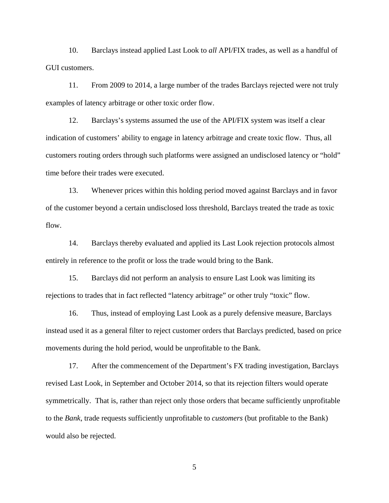10. Barclays instead applied Last Look to *all* API/FIX trades, as well as a handful of GUI customers.

11. From 2009 to 2014, a large number of the trades Barclays rejected were not truly examples of latency arbitrage or other toxic order flow.

12. Barclays's systems assumed the use of the API/FIX system was itself a clear indication of customers' ability to engage in latency arbitrage and create toxic flow. Thus, all customers routing orders through such platforms were assigned an undisclosed latency or "hold" time before their trades were executed.

13. Whenever prices within this holding period moved against Barclays and in favor of the customer beyond a certain undisclosed loss threshold, Barclays treated the trade as toxic flow.

14. Barclays thereby evaluated and applied its Last Look rejection protocols almost entirely in reference to the profit or loss the trade would bring to the Bank.

15. Barclays did not perform an analysis to ensure Last Look was limiting its rejections to trades that in fact reflected "latency arbitrage" or other truly "toxic" flow.

16. Thus, instead of employing Last Look as a purely defensive measure, Barclays instead used it as a general filter to reject customer orders that Barclays predicted, based on price movements during the hold period, would be unprofitable to the Bank.

17. After the commencement of the Department's FX trading investigation, Barclays revised Last Look, in September and October 2014, so that its rejection filters would operate symmetrically. That is, rather than reject only those orders that became sufficiently unprofitable to the *Bank*, trade requests sufficiently unprofitable to *customers* (but profitable to the Bank) would also be rejected.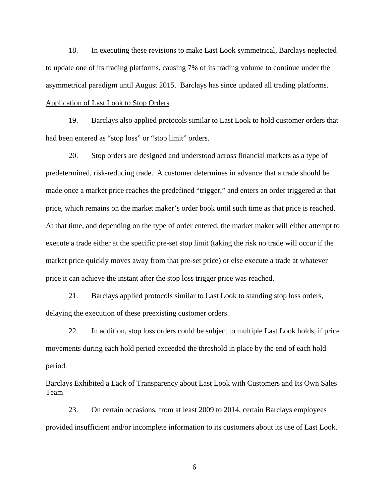18. In executing these revisions to make Last Look symmetrical, Barclays neglected to update one of its trading platforms, causing 7% of its trading volume to continue under the asymmetrical paradigm until August 2015. Barclays has since updated all trading platforms. Application of Last Look to Stop Orders

19. Barclays also applied protocols similar to Last Look to hold customer orders that had been entered as "stop loss" or "stop limit" orders.

20. Stop orders are designed and understood across financial markets as a type of predetermined, risk-reducing trade. A customer determines in advance that a trade should be made once a market price reaches the predefined "trigger," and enters an order triggered at that price, which remains on the market maker's order book until such time as that price is reached. At that time, and depending on the type of order entered, the market maker will either attempt to execute a trade either at the specific pre-set stop limit (taking the risk no trade will occur if the market price quickly moves away from that pre-set price) or else execute a trade at whatever price it can achieve the instant after the stop loss trigger price was reached.

21. Barclays applied protocols similar to Last Look to standing stop loss orders, delaying the execution of these preexisting customer orders.

22. In addition, stop loss orders could be subject to multiple Last Look holds, if price movements during each hold period exceeded the threshold in place by the end of each hold period.

Barclays Exhibited a Lack of Transparency about Last Look with Customers and Its Own Sales Team

23. On certain occasions, from at least 2009 to 2014, certain Barclays employees provided insufficient and/or incomplete information to its customers about its use of Last Look.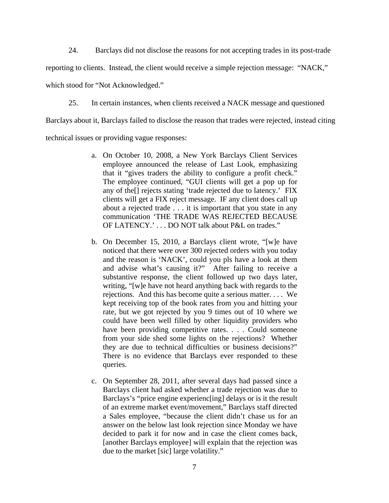24. Barclays did not disclose the reasons for not accepting trades in its post-trade

reporting to clients. Instead, the client would receive a simple rejection message: "NACK,"

which stood for "Not Acknowledged."

25. In certain instances, when clients received a NACK message and questioned

Barclays about it, Barclays failed to disclose the reason that trades were rejected, instead citing

technical issues or providing vague responses:

- a.On October 10, 2008, a New York Barclays Client Services employee announced the release of Last Look, emphasizing that it "gives traders the ability to configure a profit check." The employee continued, "GUI clients will get a pop up for any of the[] rejects stating 'trade rejected due to latency.' FIX clients will get a FIX reject message. IF any client does call up about a rejected trade . . . it is important that you state in any communication 'THE TRADE WAS REJECTED BECAUSE OF LATENCY.' . . . DO NOT talk about P&L on trades."
- b.On December 15, 2010, a Barclays client wrote, "[w]e have noticed that there were over 300 rejected orders with you today and the reason is 'NACK', could you pls have a look at them and advise what's causing it?" After failing to receive a substantive response, the client followed up two days later, writing, "[w]e have not heard anything back with regards to the rejections. And this has become quite a serious matter. . . . We kept receiving top of the book rates from you and hitting your rate, but we got rejected by you 9 times out of 10 where we could have been well filled by other liquidity providers who have been providing competitive rates. . . . Could someone from your side shed some lights on the rejections? Whether they are due to technical difficulties or business decisions?" There is no evidence that Barclays ever responded to these queries.
- c. On September 28, 2011, after several days had passed since a Barclays client had asked whether a trade rejection was due to Barclays's "price engine experienc[ing] delays or is it the result of an extreme market event/movement," Barclays staff directed a Sales employee, "because the client didn't chase us for an answer on the below last look rejection since Monday we have decided to park it for now and in case the client comes back, [another Barclays employee] will explain that the rejection was due to the market [sic] large volatility."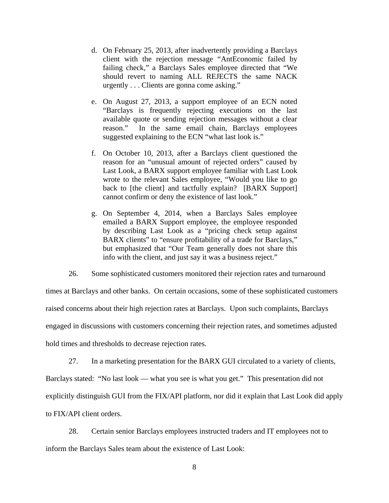- d. On February 25, 2013, after inadvertently providing a Barclays client with the rejection message "AntEconomic failed by failing check," a Barclays Sales employee directed that "We should revert to naming ALL REJECTS the same NACK urgently . . . Clients are gonna come asking."
- e. On August 27, 2013, a support employee of an ECN noted "Barclays is frequently rejecting executions on the last available quote or sending rejection messages without a clear reason." In the same email chain, Barclays employees suggested explaining to the ECN "what last look is."
- f.On October 10, 2013, after a Barclays client questioned the reason for an "unusual amount of rejected orders" caused by Last Look, a BARX support employee familiar with Last Look wrote to the relevant Sales employee, "Would you like to go back to [the client] and tactfully explain? [BARX Support] cannot confirm or deny the existence of last look."
- g.On September 4, 2014, when a Barclays Sales employee emailed a BARX Support employee, the employee responded by describing Last Look as a "pricing check setup against BARX clients" to "ensure profitability of a trade for Barclays," but emphasized that "Our Team generally does not share this info with the client, and just say it was a business reject."

26. Some sophisticated customers monitored their rejection rates and turnaround

times at Barclays and other banks. On certain occasions, some of these sophisticated customers raised concerns about their high rejection rates at Barclays. Upon such complaints, Barclays engaged in discussions with customers concerning their rejection rates, and sometimes adjusted hold times and thresholds to decrease rejection rates.

27. In a marketing presentation for the BARX GUI circulated to a variety of clients,

Barclays stated: "No last look — what you see is what you get." This presentation did not explicitly distinguish GUI from the FIX/API platform, nor did it explain that Last Look did apply to FIX/API client orders.

28. Certain senior Barclays employees instructed traders and IT employees not to inform the Barclays Sales team about the existence of Last Look: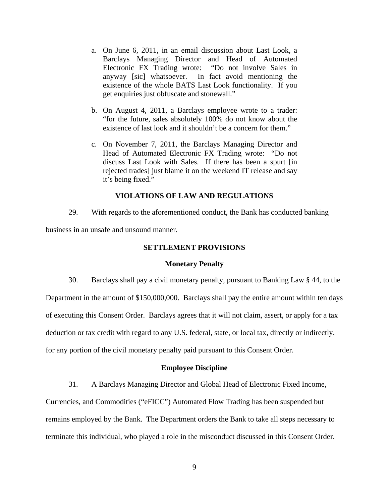- a.On June 6, 2011, in an email discussion about Last Look, a Barclays Managing Director and Head of Automated Electronic FX Trading wrote: "Do not involve Sales in anyway [sic] whatsoever. In fact avoid mentioning the existence of the whole BATS Last Look functionality. If you get enquiries just obfuscate and stonewall."
- b.On August 4, 2011, a Barclays employee wrote to a trader: "for the future, sales absolutely 100% do not know about the existence of last look and it shouldn't be a concern for them."
- c. On November 7, 2011, the Barclays Managing Director and Head of Automated Electronic FX Trading wrote: "Do not discuss Last Look with Sales. If there has been a spurt [in rejected trades] just blame it on the weekend IT release and say it's being fixed."

## **VIOLATIONS OF LAW AND REGULATIONS**

29. With regards to the aforementioned conduct, the Bank has conducted banking

business in an unsafe and unsound manner.

## **SETTLEMENT PROVISIONS**

## **Monetary Penalty**

30. Barclays shall pay a civil monetary penalty, pursuant to Banking Law § 44, to the Department in the amount of \$150,000,000. Barclays shall pay the entire amount within ten days of executing this Consent Order. Barclays agrees that it will not claim, assert, or apply for a tax deduction or tax credit with regard to any U.S. federal, state, or local tax, directly or indirectly, for any portion of the civil monetary penalty paid pursuant to this Consent Order.

## **Employee Discipline**

31. A Barclays Managing Director and Global Head of Electronic Fixed Income,

Currencies, and Commodities ("eFICC") Automated Flow Trading has been suspended but remains employed by the Bank. The Department orders the Bank to take all steps necessary to terminate this individual, who played a role in the misconduct discussed in this Consent Order.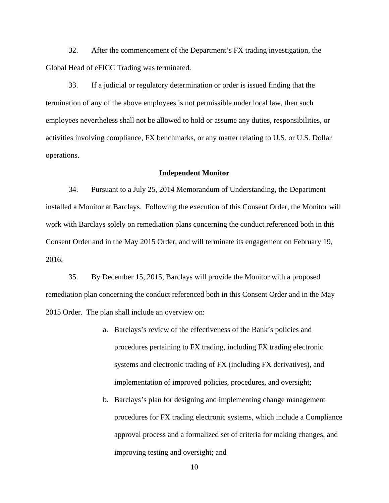32. After the commencement of the Department's FX trading investigation, the Global Head of eFICC Trading was terminated.

33. If a judicial or regulatory determination or order is issued finding that the termination of any of the above employees is not permissible under local law, then such employees nevertheless shall not be allowed to hold or assume any duties, responsibilities, or activities involving compliance, FX benchmarks, or any matter relating to U.S. or U.S. Dollar operations.

#### **Independent Monitor**

34. Pursuant to a July 25, 2014 Memorandum of Understanding, the Department installed a Monitor at Barclays. Following the execution of this Consent Order, the Monitor will work with Barclays solely on remediation plans concerning the conduct referenced both in this Consent Order and in the May 2015 Order, and will terminate its engagement on February 19, 2016.

35. By December 15, 2015, Barclays will provide the Monitor with a proposed remediation plan concerning the conduct referenced both in this Consent Order and in the May 2015 Order. The plan shall include an overview on:

- a.Barclays's review of the effectiveness of the Bank's policies and procedures pertaining to FX trading, including FX trading electronic systems and electronic trading of FX (including FX derivatives), and implementation of improved policies, procedures, and oversight;
- b. Barclays's plan for designing and implementing change management procedures for FX trading electronic systems, which include a Compliance approval process and a formalized set of criteria for making changes, and improving testing and oversight; and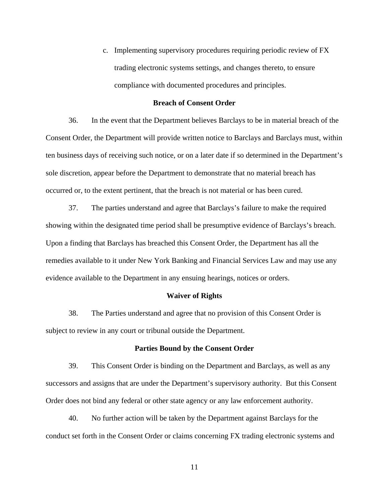c. Implementing supervisory procedures requiring periodic review of FX trading electronic systems settings, and changes thereto, to ensure compliance with documented procedures and principles.

#### **Breach of Consent Order**

36. In the event that the Department believes Barclays to be in material breach of the Consent Order, the Department will provide written notice to Barclays and Barclays must, within ten business days of receiving such notice, or on a later date if so determined in the Department's sole discretion, appear before the Department to demonstrate that no material breach has occurred or, to the extent pertinent, that the breach is not material or has been cured.

37. The parties understand and agree that Barclays's failure to make the required showing within the designated time period shall be presumptive evidence of Barclays's breach. Upon a finding that Barclays has breached this Consent Order, the Department has all the remedies available to it under New York Banking and Financial Services Law and may use any evidence available to the Department in any ensuing hearings, notices or orders.

#### **Waiver of Rights**

38. The Parties understand and agree that no provision of this Consent Order is subject to review in any court or tribunal outside the Department.

#### **Parties Bound by the Consent Order**

39. This Consent Order is binding on the Department and Barclays, as well as any successors and assigns that are under the Department's supervisory authority. But this Consent Order does not bind any federal or other state agency or any law enforcement authority.

40. No further action will be taken by the Department against Barclays for the conduct set forth in the Consent Order or claims concerning FX trading electronic systems and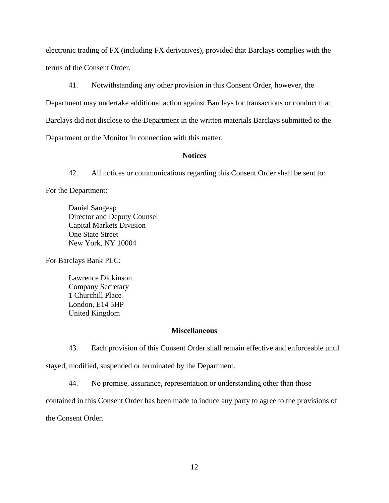electronic trading of FX (including FX derivatives), provided that Barclays complies with the terms of the Consent Order.

41. Notwithstanding any other provision in this Consent Order, however, the Department may undertake additional action against Barclays for transactions or conduct that Barclays did not disclose to the Department in the written materials Barclays submitted to the Department or the Monitor in connection with this matter.

# **Notices**

42. All notices or communications regarding this Consent Order shall be sent to:

For the Department:

Capital Markets Division<br>One State Street Daniel Sangeap Director and Deputy Counsel New York, NY 10004

For Barclays Bank PLC:

Lawrence Dickinson<br>Company Secretary<br>1 Churchill Place London, E14 5HP United Kingdom

#### **Miscellaneous**

43. Each provision of this Consent Order shall remain effective and enforceable until stayed, modified, suspended or terminated by the Department.

44. No promise, assurance, representation or understanding other than those

contained in this Consent Order has been made to induce any party to agree to the provisions of

the Consent Order.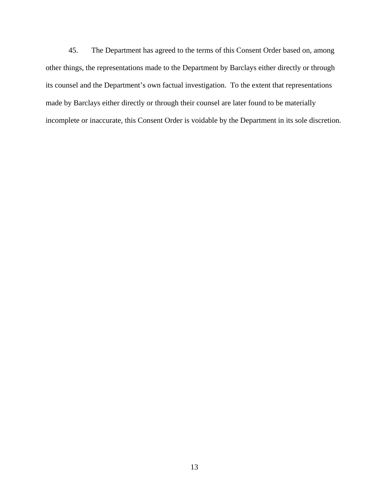45. The Department has agreed to the terms of this Consent Order based on, among other things, the representations made to the Department by Barclays either directly or through its counsel and the Department's own factual investigation. To the extent that representations made by Barclays either directly or through their counsel are later found to be materially incomplete or inaccurate, this Consent Order is voidable by the Department in its sole discretion.